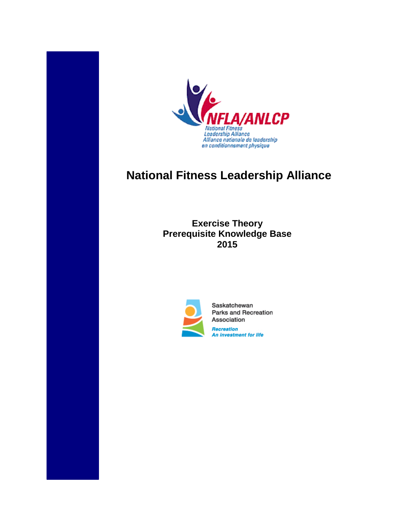

# **National Fitness Leadership Alliance**

**Exercise Theory Prerequisite Knowledge Base 2015**



Saskatchewan **Parks and Recreation** Association Recreation An investment for life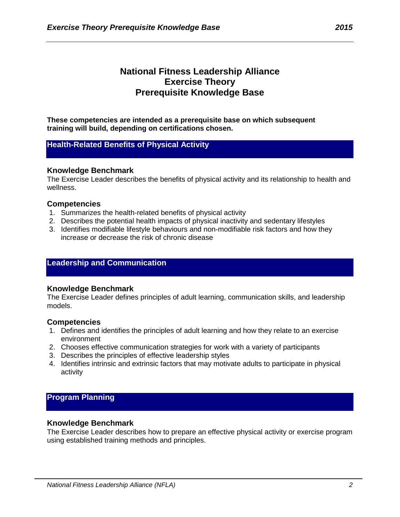# **National Fitness Leadership Alliance Exercise Theory Prerequisite Knowledge Base**

**These competencies are intended as a prerequisite base on which subsequent training will build, depending on certifications chosen.**

# **Health-Related Benefits of Physical Activity**

## **Knowledge Benchmark**

The Exercise Leader describes the benefits of physical activity and its relationship to health and wellness.

# **Competencies**

- 1. Summarizes the health-related benefits of physical activity
- 2. Describes the potential health impacts of physical inactivity and sedentary lifestyles
- 3. Identifies modifiable lifestyle behaviours and non-modifiable risk factors and how they increase or decrease the risk of chronic disease

# **Leadership and Communication**

## **Knowledge Benchmark**

The Exercise Leader defines principles of adult learning, communication skills, and leadership models.

## **Competencies**

- 1. Defines and identifies the principles of adult learning and how they relate to an exercise environment
- 2. Chooses effective communication strategies for work with a variety of participants
- 3. Describes the principles of effective leadership styles
- 4. Identifies intrinsic and extrinsic factors that may motivate adults to participate in physical activity

# **Program Planning**

## **Knowledge Benchmark**

The Exercise Leader describes how to prepare an effective physical activity or exercise program using established training methods and principles.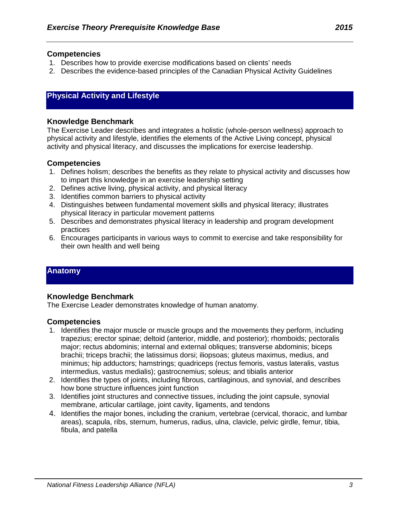#### **Competencies**

- 1. Describes how to provide exercise modifications based on clients' needs
- 2. Describes the evidence-based principles of the Canadian Physical Activity Guidelines

# **Physical Activity and Lifestyle**

#### **Knowledge Benchmark**

The Exercise Leader describes and integrates a holistic (whole-person wellness) approach to physical activity and lifestyle, identifies the elements of the Active Living concept, physical activity and physical literacy, and discusses the implications for exercise leadership.

#### **Competencies**

- 1. Defines holism; describes the benefits as they relate to physical activity and discusses how to impart this knowledge in an exercise leadership setting
- 2. Defines active living, physical activity, and physical literacy
- 3. Identifies common barriers to physical activity
- 4. Distinguishes between fundamental movement skills and physical literacy; illustrates physical literacy in particular movement patterns
- 5. Describes and demonstrates physical literacy in leadership and program development practices
- 6. Encourages participants in various ways to commit to exercise and take responsibility for their own health and well being

# **Anatomy**

## **Knowledge Benchmark**

The Exercise Leader demonstrates knowledge of human anatomy.

- 1. Identifies the major muscle or muscle groups and the movements they perform, including trapezius; erector spinae; deltoid (anterior, middle, and posterior); rhomboids; pectoralis major; rectus abdominis; internal and external obliques; transverse abdominis; biceps brachii; triceps brachii; the latissimus dorsi; iliopsoas; gluteus maximus, medius, and minimus; hip adductors; hamstrings; quadriceps (rectus femoris, vastus lateralis, vastus intermedius, vastus medialis); gastrocnemius; soleus; and tibialis anterior
- 2. Identifies the types of joints, including fibrous, cartilaginous, and synovial, and describes how bone structure influences joint function
- 3. Identifies joint structures and connective tissues, including the joint capsule, synovial membrane, articular cartilage, joint cavity, ligaments, and tendons
- 4. Identifies the major bones, including the cranium, vertebrae (cervical, thoracic, and lumbar areas), scapula, ribs, sternum, humerus, radius, ulna, clavicle, pelvic girdle, femur, tibia, fibula, and patella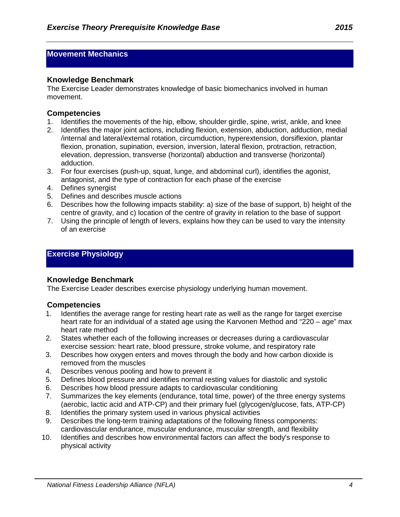# **Movement Mechanics**

## **Knowledge Benchmark**

The Exercise Leader demonstrates knowledge of basic biomechanics involved in human movement.

# **Competencies**

- 1. Identifies the movements of the hip, elbow, shoulder girdle, spine, wrist, ankle, and knee
- 2. Identifies the major joint actions, including flexion, extension, abduction, adduction, medial /internal and lateral/external rotation, circumduction, hyperextension, dorsiflexion, plantar flexion, pronation, supination, eversion, inversion, lateral flexion, protraction, retraction, elevation, depression, transverse (horizontal) abduction and transverse (horizontal) adduction.
- 3. For four exercises (push-up, squat, lunge, and abdominal curl), identifies the agonist, antagonist, and the type of contraction for each phase of the exercise
- 4. Defines synergist
- 5. Defines and describes muscle actions
- 6. Describes how the following impacts stability: a) size of the base of support, b) height of the centre of gravity, and c) location of the centre of gravity in relation to the base of support
- 7. Using the principle of length of levers, explains how they can be used to vary the intensity of an exercise

# **Exercise Physiology**

## **Knowledge Benchmark**

The Exercise Leader describes exercise physiology underlying human movement.

- 1. Identifies the average range for resting heart rate as well as the range for target exercise heart rate for an individual of a stated age using the Karvonen Method and "220 – age" max heart rate method
- 2. States whether each of the following increases or decreases during a cardiovascular exercise session: heart rate, blood pressure, stroke volume, and respiratory rate
- 3. Describes how oxygen enters and moves through the body and how carbon dioxide is removed from the muscles
- 4. Describes venous pooling and how to prevent it
- 5. Defines blood pressure and identifies normal resting values for diastolic and systolic
- 6. Describes how blood pressure adapts to cardiovascular conditioning
- 7. Summarizes the key elements (endurance, total time, power) of the three energy systems (aerobic, lactic acid and ATP-CP) and their primary fuel (glycogen/glucose, fats, ATP-CP)
- 8. Identifies the primary system used in various physical activities
- 9. Describes the long-term training adaptations of the following fitness components: cardiovascular endurance, muscular endurance, muscular strength, and flexibility
- 10. Identifies and describes how environmental factors can affect the body's response to physical activity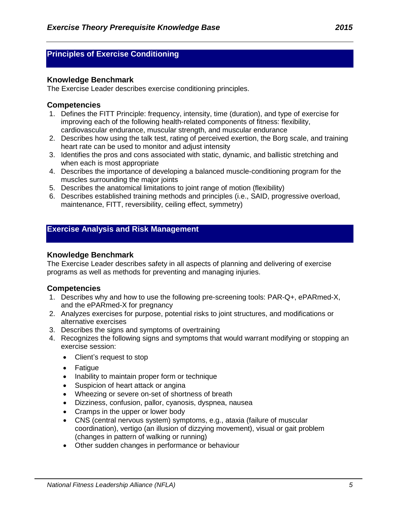# **Principles of Exercise Conditioning**

# **Knowledge Benchmark**

The Exercise Leader describes exercise conditioning principles.

# **Competencies**

- 1. Defines the FITT Principle: frequency, intensity, time (duration), and type of exercise for improving each of the following health-related components of fitness: flexibility, cardiovascular endurance, muscular strength, and muscular endurance
- 2. Describes how using the talk test, rating of perceived exertion, the Borg scale, and training heart rate can be used to monitor and adjust intensity
- 3. Identifies the pros and cons associated with static, dynamic, and ballistic stretching and when each is most appropriate
- 4. Describes the importance of developing a balanced muscle-conditioning program for the muscles surrounding the major joints
- 5. Describes the anatomical limitations to joint range of motion (flexibility)
- 6. Describes established training methods and principles (i.e., SAID, progressive overload, maintenance, FITT, reversibility, ceiling effect, symmetry)

# **Exercise Analysis and Risk Management**

# **Knowledge Benchmark**

The Exercise Leader describes safety in all aspects of planning and delivering of exercise programs as well as methods for preventing and managing injuries.

- 1. Describes why and how to use the following pre-screening tools: PAR-Q+, ePARmed-X, and the ePARmed-X for pregnancy
- 2. Analyzes exercises for purpose, potential risks to joint structures, and modifications or alternative exercises
- 3. Describes the signs and symptoms of overtraining
- 4. Recognizes the following signs and symptoms that would warrant modifying or stopping an exercise session:
	- Client's request to stop
	- Fatigue
	- Inability to maintain proper form or technique
	- Suspicion of heart attack or angina
	- Wheezing or severe on-set of shortness of breath
	- Dizziness, confusion, pallor, cyanosis, dyspnea, nausea
	- Cramps in the upper or lower body
	- CNS (central nervous system) symptoms, e.g., ataxia (failure of muscular coordination), vertigo (an illusion of dizzying movement), visual or gait problem (changes in pattern of walking or running)
	- Other sudden changes in performance or behaviour